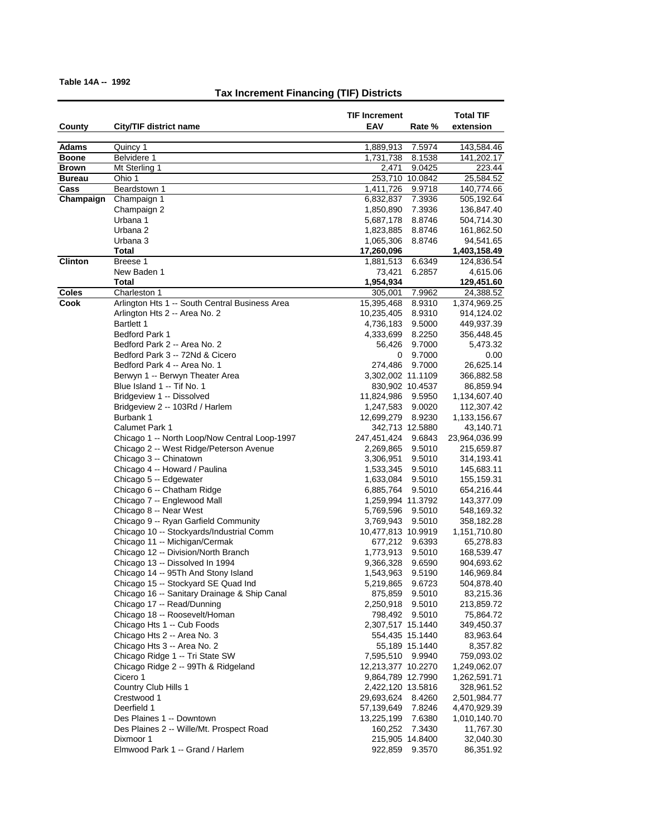| County         | City/TIF district name                                                 | <b>TIF Increment</b><br>EAV             | Rate %           | <b>Total TIF</b><br>extension |
|----------------|------------------------------------------------------------------------|-----------------------------------------|------------------|-------------------------------|
| <b>Adams</b>   | Quincy 1                                                               | 1,889,913                               | 7.5974           | 143,584.46                    |
| <b>Boone</b>   | Belvidere 1                                                            | 1,731,738                               | 8.1538           | 141,202.17                    |
| <b>Brown</b>   | Mt Sterling 1                                                          | 2,471                                   | 9.0425           | 223.44                        |
| <b>Bureau</b>  | Ohio 1                                                                 |                                         | 253,710 10.0842  | 25,584.52                     |
| Cass           | Beardstown 1                                                           | 1,411,726                               | 9.9718           | 140,774.66                    |
| Champaign      | Champaign 1                                                            | 6,832,837                               | 7.3936           | 505,192.64                    |
|                | Champaign 2                                                            | 1,850,890                               | 7.3936           | 136,847.40                    |
|                | Urbana 1                                                               | 5,687,178                               | 8.8746           | 504,714.30                    |
|                | Urbana 2                                                               | 1,823,885                               | 8.8746           | 161,862.50                    |
|                | Urbana 3                                                               | 1,065,306                               | 8.8746           | 94,541.65                     |
|                | <b>Total</b>                                                           | 17,260,096                              |                  | 1,403,158.49                  |
| <b>Clinton</b> | Breese 1                                                               | 1,881,513                               | 6.6349           | 124,836.54                    |
|                | New Baden 1                                                            | 73,421                                  | 6.2857           | 4,615.06                      |
|                | Total                                                                  | 1,954,934                               |                  | 129,451.60                    |
| <b>Coles</b>   | Charleston 1                                                           | 305,001                                 | 7.9962           | 24,388.52                     |
| Cook           | Arlington Hts 1 -- South Central Business Area                         | 15,395,468                              | 8.9310           | 1,374,969.25                  |
|                | Arlington Hts 2 -- Area No. 2                                          | 10,235,405                              | 8.9310           | 914,124.02                    |
|                | Bartlett 1                                                             | 4,736,183                               | 9.5000           | 449,937.39                    |
|                | <b>Bedford Park 1</b>                                                  | 4,333,699                               | 8.2250           | 356,448.45                    |
|                | Bedford Park 2 -- Area No. 2                                           | 56,426                                  | 9.7000           | 5,473.32                      |
|                | Bedford Park 3 -- 72Nd & Cicero                                        | 0                                       | 9.7000           | 0.00                          |
|                | Bedford Park 4 -- Area No. 1                                           | 274,486                                 | 9.7000           | 26,625.14                     |
|                | Berwyn 1 -- Berwyn Theater Area                                        | 3,302,002 11.1109                       |                  | 366,882.58                    |
|                | Blue Island 1 -- Tif No. 1                                             | 830,902 10.4537                         |                  | 86,859.94                     |
|                | Bridgeview 1 -- Dissolved                                              | 11,824,986 9.5950                       |                  | 1,134,607.40                  |
|                | Bridgeview 2 -- 103Rd / Harlem                                         | 1,247,583                               | 9.0020           | 112,307.42                    |
|                | Burbank 1                                                              | 12,699,279                              | 8.9230           | 1,133,156.67                  |
|                | <b>Calumet Park 1</b>                                                  |                                         | 342,713 12.5880  | 43,140.71                     |
|                | Chicago 1 -- North Loop/Now Central Loop-1997                          | 247,451,424                             | 9.6843           | 23,964,036.99                 |
|                | Chicago 2 -- West Ridge/Peterson Avenue                                | 2,269,865                               | 9.5010           | 215,659.87                    |
|                | Chicago 3 -- Chinatown                                                 | 3,306,951                               | 9.5010           | 314,193.41                    |
|                | Chicago 4 -- Howard / Paulina                                          | 1,533,345                               | 9.5010           | 145,683.11                    |
|                | Chicago 5 -- Edgewater                                                 | 1,633,084                               | 9.5010           | 155,159.31                    |
|                | Chicago 6 -- Chatham Ridge                                             | 6,885,764                               | 9.5010           | 654,216.44                    |
|                | Chicago 7 -- Englewood Mall                                            | 1,259,994 11.3792                       |                  | 143,377.09                    |
|                | Chicago 8 -- Near West                                                 | 5,769,596                               | 9.5010           | 548,169.32                    |
|                | Chicago 9 -- Ryan Garfield Community                                   | 3,769,943                               | 9.5010           | 358,182.28                    |
|                | Chicago 10 -- Stockyards/Industrial Comm                               | 10,477,813 10.9919                      |                  | 1,151,710.80                  |
|                | Chicago 11 -- Michigan/Cermak                                          | 677,212                                 | 9.6393           | 65,278.83                     |
|                | Chicago 12 -- Division/North Branch                                    | 1,773,913                               | 9.5010           | 168,539.47                    |
|                | Chicago 13 -- Dissolved In 1994                                        | 9,366,328                               | 9.6590           | 904,693.62                    |
|                | Chicago 14 -- 95Th And Stony Island                                    | 1,543,963                               | 9.5190           | 146,969.84                    |
|                | Chicago 15 -- Stockyard SE Quad Ind                                    | 5,219,865                               | 9.6723           | 504,878.40                    |
|                | Chicago 16 -- Sanitary Drainage & Ship Canal                           | 875,859                                 | 9.5010           | 83,215.36                     |
|                | Chicago 17 -- Read/Dunning                                             | 2,250,918                               | 9.5010           | 213,859.72                    |
|                | Chicago 18 -- Roosevelt/Homan                                          | 798,492                                 | 9.5010           | 75,864.72                     |
|                | Chicago Hts 1 -- Cub Foods                                             | 2,307,517 15.1440                       |                  | 349,450.37                    |
|                | Chicago Hts 2 -- Area No. 3<br>Chicago Hts 3 -- Area No. 2             |                                         | 554,435 15.1440  | 83,963.64                     |
|                |                                                                        |                                         | 55,189 15.1440   | 8,357.82                      |
|                | Chicago Ridge 1 -- Tri State SW<br>Chicago Ridge 2 -- 99Th & Ridgeland | 7,595,510 9.9940                        |                  | 759,093.02                    |
|                | Cicero 1                                                               | 12,213,377 10.2270<br>9,864,789 12.7990 |                  | 1,249,062.07                  |
|                | Country Club Hills 1                                                   | 2,422,120 13.5816                       |                  | 1,262,591.71<br>328,961.52    |
|                | Crestwood 1                                                            | 29,693,624                              |                  |                               |
|                | Deerfield 1                                                            | 57,139,649                              | 8.4260<br>7.8246 | 2,501,984.77<br>4,470,929.39  |
|                | Des Plaines 1 -- Downtown                                              | 13,225,199                              | 7.6380           | 1,010,140.70                  |
|                | Des Plaines 2 -- Wille/Mt. Prospect Road                               | 160,252                                 | 7.3430           | 11,767.30                     |
|                | Dixmoor 1                                                              | 215,905 14.8400                         |                  | 32,040.30                     |
|                | Elmwood Park 1 -- Grand / Harlem                                       | 922,859                                 | 9.3570           | 86,351.92                     |
|                |                                                                        |                                         |                  |                               |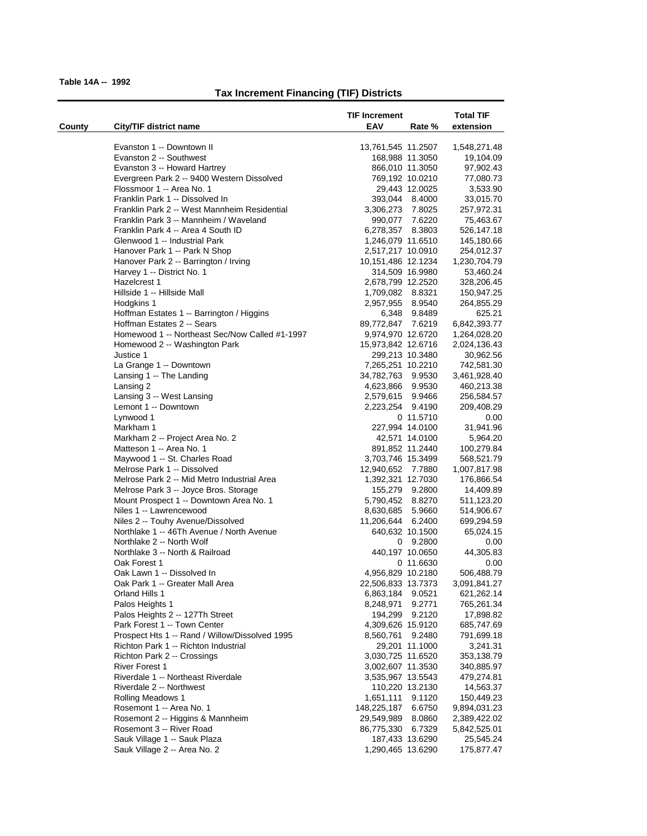|        |                                                | <b>TIF Increment</b>         |                | <b>Total TIF</b>        |
|--------|------------------------------------------------|------------------------------|----------------|-------------------------|
| County | City/TIF district name                         | EAV                          | Rate %         | extension               |
|        |                                                |                              |                |                         |
|        | Evanston 1 -- Downtown II                      | 13,761,545 11.2507           |                | 1,548,271.48            |
|        | Evanston 2 -- Southwest                        | 168,988 11.3050              |                | 19,104.09               |
|        | Evanston 3 -- Howard Hartrey                   | 866,010 11.3050              |                | 97,902.43               |
|        | Evergreen Park 2 -- 9400 Western Dissolved     | 769,192 10.0210              |                | 77,080.73               |
|        | Flossmoor 1 -- Area No. 1                      |                              | 29,443 12.0025 | 3,533.90                |
|        | Franklin Park 1 -- Dissolved In                | 393,044 8.4000               |                | 33,015.70               |
|        | Franklin Park 2 -- West Mannheim Residential   | 3,306,273 7.8025             |                | 257,972.31              |
|        | Franklin Park 3 -- Mannheim / Waveland         | 990,077 7.6220               |                | 75,463.67               |
|        | Franklin Park 4 -- Area 4 South ID             | 6,278,357 8.3803             |                | 526,147.18              |
|        | Glenwood 1 -- Industrial Park                  | 1,246,079 11.6510            |                | 145,180.66              |
|        | Hanover Park 1 -- Park N Shop                  | 2,517,217 10.0910            |                | 254,012.37              |
|        | Hanover Park 2 -- Barrington / Irving          | 10,151,486 12.1234           |                | 1,230,704.79            |
|        | Harvey 1 -- District No. 1                     | 314,509 16.9980              |                | 53,460.24               |
|        | Hazelcrest 1                                   | 2,678,799 12.2520            |                | 328,206.45              |
|        | Hillside 1 -- Hillside Mall                    | 1,709,082 8.8321             |                | 150,947.25              |
|        | Hodgkins 1                                     | 2,957,955 8.9540             |                | 264,855.29              |
|        | Hoffman Estates 1 -- Barrington / Higgins      |                              | 6,348 9.8489   | 625.21                  |
|        | Hoffman Estates 2 -- Sears                     | 89,772,847 7.6219            |                | 6,842,393.77            |
|        | Homewood 1 -- Northeast Sec/Now Called #1-1997 | 9,974,970 12.6720            |                | 1,264,028.20            |
|        | Homewood 2 -- Washington Park                  | 15,973,842 12.6716           |                | 2,024,136.43            |
|        | Justice 1                                      | 299,213 10.3480              |                | 30,962.56               |
|        | La Grange 1 -- Downtown                        | 7,265,251 10.2210            |                | 742,581.30              |
|        | Lansing 1 -- The Landing                       | 34,782,763 9.9530            |                | 3,461,928.40            |
|        | Lansing 2                                      | 4,623,866 9.9530             |                | 460,213.38              |
|        | Lansing 3 -- West Lansing                      | 2,579,615 9.9466             |                | 256,584.57              |
|        | Lemont 1 -- Downtown                           | 2,223,254 9.4190             |                | 209,408.29              |
|        | Lynwood 1                                      |                              | 0 11.5710      | 0.00                    |
|        | Markham 1                                      | 227,994 14.0100              |                | 31,941.96               |
|        | Markham 2 -- Project Area No. 2                |                              | 42,571 14.0100 | 5,964.20                |
|        | Matteson 1 -- Area No. 1                       | 891,852 11.2440              |                | 100,279.84              |
|        | Maywood 1 -- St. Charles Road                  | 3,703,746 15.3499            |                | 568,521.79              |
|        | Melrose Park 1 -- Dissolved                    | 12,940,652 7.7880            |                | 1,007,817.98            |
|        | Melrose Park 2 -- Mid Metro Industrial Area    | 1,392,321 12.7030            |                | 176,866.54              |
|        | Melrose Park 3 -- Joyce Bros. Storage          | 155,279 9.2800               |                | 14,409.89               |
|        | Mount Prospect 1 -- Downtown Area No. 1        | 5,790,452 8.8270             |                | 511,123.20              |
|        | Niles 1 -- Lawrencewood                        | 8,630,685                    | 5.9660         | 514,906.67              |
|        | Niles 2 -- Touhy Avenue/Dissolved              | 11,206,644 6.2400            |                | 699,294.59              |
|        | Northlake 1 -- 46Th Avenue / North Avenue      | 640,632 10.1500              |                | 65,024.15               |
|        | Northlake 2 -- North Wolf                      |                              | $0$ 9.2800     | 0.00                    |
|        | Northlake 3 -- North & Railroad                | 440,197 10.0650              |                | 44,305.83               |
|        | Oak Forest 1                                   |                              | 0 11.6630      | 0.00                    |
|        | Oak Lawn 1 -- Dissolved In                     | 4,956,829 10.2180            |                | 506,488.79              |
|        | Oak Park 1 -- Greater Mall Area                | 22,506,833 13.7373           |                | 3,091,841.27            |
|        | Orland Hills 1                                 | 6,863,184 9.0521             |                | 621,262.14              |
|        | Palos Heights 1                                | 8,248,971                    | 9.2771         | 765,261.34              |
|        | Palos Heights 2 -- 127Th Street                | 194,299                      | 9.2120         | 17,898.82               |
|        | Park Forest 1 -- Town Center                   | 4,309,626 15.9120            |                | 685,747.69              |
|        | Prospect Hts 1 -- Rand / Willow/Dissolved 1995 | 8,560,761                    | 9.2480         | 791,699.18              |
|        | Richton Park 1 -- Richton Industrial           |                              | 29,201 11.1000 | 3,241.31                |
|        | Richton Park 2 -- Crossings                    | 3,030,725 11.6520            |                | 353,138.79              |
|        | <b>River Forest 1</b>                          | 3,002,607 11.3530            |                | 340,885.97              |
|        | Riverdale 1 -- Northeast Riverdale             | 3,535,967 13.5543            |                | 479,274.81              |
|        | Riverdale 2 -- Northwest                       |                              |                |                         |
|        | Rolling Meadows 1                              | 110,220 13.2130<br>1,651,111 |                | 14,563.37<br>150,449.23 |
|        | Rosemont 1 -- Area No. 1                       | 148,225,187                  | 9.1120         |                         |
|        | Rosemont 2 -- Higgins & Mannheim               |                              | 6.6750         | 9,894,031.23            |
|        |                                                | 29,549,989                   | 8.0860         | 2,389,422.02            |
|        | Rosemont 3 -- River Road                       | 86,775,330                   | 6.7329         | 5,842,525.01            |
|        | Sauk Village 1 -- Sauk Plaza                   | 187,433 13.6290              |                | 25,545.24               |
|        | Sauk Village 2 -- Area No. 2                   | 1,290,465 13.6290            |                | 175,877.47              |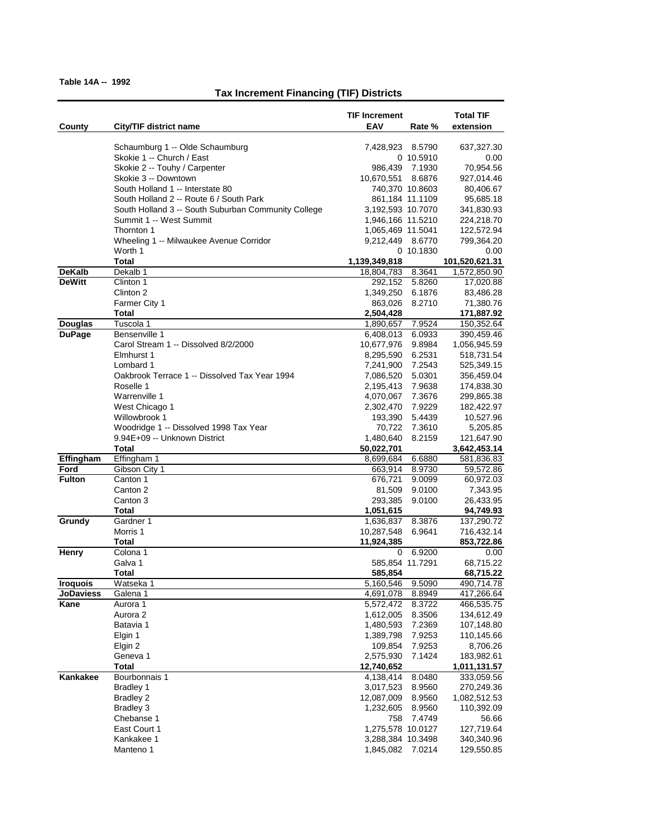|                  |                                                     | <b>TIF Increment</b>           |                  | <b>Total TIF</b>           |
|------------------|-----------------------------------------------------|--------------------------------|------------------|----------------------------|
| County           | City/TIF district name                              | EAV                            | Rate %           | extension                  |
|                  | Schaumburg 1 -- Olde Schaumburg                     | 7,428,923 8.5790               |                  | 637,327.30                 |
|                  | Skokie 1 -- Church / East                           |                                | 0 10.5910        | 0.00                       |
|                  | Skokie 2 -- Touhy / Carpenter                       |                                | 986,439 7.1930   | 70,954.56                  |
|                  | Skokie 3 -- Downtown                                | 10,670,551                     | 8.6876           | 927,014.46                 |
|                  | South Holland 1 -- Interstate 80                    |                                | 740,370 10.8603  | 80,406.67                  |
|                  | South Holland 2 -- Route 6 / South Park             | 861,184 11.1109                |                  | 95,685.18                  |
|                  | South Holland 3 -- South Suburban Community College | 3,192,593 10.7070              |                  | 341,830.93                 |
|                  | Summit 1 -- West Summit<br>Thornton 1               | 1,946,166 11.5210              |                  | 224,218.70                 |
|                  | Wheeling 1 -- Milwaukee Avenue Corridor             | 1,065,469 11.5041<br>9,212,449 | 8.6770           | 122,572.94<br>799,364.20   |
|                  | Worth 1                                             |                                | 0 10.1830        | 0.00                       |
|                  | Total                                               | 1,139,349,818                  |                  | 101,520,621.31             |
| <b>DeKalb</b>    | Dekalb 1                                            | 18,804,783                     | 8.3641           | 1,572,850.90               |
| <b>DeWitt</b>    | Clinton 1                                           | 292,152                        | 5.8260           | 17,020.88                  |
|                  | Clinton 2                                           | 1,349,250                      | 6.1876           | 83,486.28                  |
|                  | Farmer City 1                                       | 863,026                        | 8.2710           | 71,380.76                  |
| <b>Douglas</b>   | <b>Total</b><br>Tuscola 1                           | 2,504,428                      | 7.9524           | 171,887.92<br>150,352.64   |
| <b>DuPage</b>    | Bensenville 1                                       | 1,890,657<br>6,408,013         | 6.0933           | 390,459.46                 |
|                  | Carol Stream 1 -- Dissolved 8/2/2000                | 10,677,976                     | 9.8984           | 1,056,945.59               |
|                  | Elmhurst 1                                          | 8,295,590                      | 6.2531           | 518,731.54                 |
|                  | Lombard 1                                           | 7,241,900                      | 7.2543           | 525,349.15                 |
|                  | Oakbrook Terrace 1 -- Dissolved Tax Year 1994       | 7,086,520                      | 5.0301           | 356,459.04                 |
|                  | Roselle 1                                           | 2,195,413                      | 7.9638           | 174,838.30                 |
|                  | Warrenville 1                                       | 4,070,067                      | 7.3676           | 299,865.38                 |
|                  | West Chicago 1                                      | 2,302,470                      | 7.9229           | 182,422.97                 |
|                  | Willowbrook 1                                       | 193,390                        | 5.4439           | 10,527.96                  |
|                  | Woodridge 1 -- Dissolved 1998 Tax Year              | 70,722                         | 7.3610           | 5,205.85                   |
|                  | 9.94E+09 -- Unknown District                        | 1,480,640                      | 8.2159           | 121,647.90                 |
| Effingham        | Total<br>Effingham 1                                | 50,022,701<br>8,699,684        | 6.6880           | 3,642,453.14<br>581,836.83 |
| Ford             | Gibson City 1                                       | 663,914                        | 8.9730           | 59,572.86                  |
| <b>Fulton</b>    | Canton 1                                            | 676,721                        | 9.0099           | 60,972.03                  |
|                  | Canton 2                                            | 81,509                         | 9.0100           | 7,343.95                   |
|                  | Canton 3                                            | 293,385                        | 9.0100           | 26,433.95                  |
|                  | Total                                               | 1,051,615                      |                  | 94,749.93                  |
| Grundy           | Gardner 1                                           | 1,636,837                      | 8.3876           | 137,290.72                 |
|                  | Morris 1                                            | 10,287,548                     | 6.9641           | 716,432.14                 |
|                  | Total                                               | 11,924,385                     |                  | 853,722.86                 |
| Henry            | Colona 1<br>Galva 1                                 | 0                              | 6.9200           | 0.00                       |
|                  | Total                                               | 585,854 11.7291<br>585,854     |                  | 68,715.22<br>68,715.22     |
| <b>Iroquois</b>  | Watseka 1                                           | 5,160,546                      | 9.5090           | 490,714.78                 |
| <b>JoDaviess</b> | Galena 1                                            | 4,691,078                      | 8.8949           | 417,266.64                 |
| Kane             | Aurora 1                                            | 5,572,472                      | 8.3722           | 466,535.75                 |
|                  | Aurora 2                                            | 1,612,005                      | 8.3506           | 134,612.49                 |
|                  | Batavia 1                                           | 1,480,593                      | 7.2369           | 107,148.80                 |
|                  | Elgin 1                                             | 1,389,798                      | 7.9253           | 110,145.66                 |
|                  | Elgin 2                                             | 109,854                        | 7.9253           | 8,706.26                   |
|                  | Geneva 1                                            | 2,575,930                      | 7.1424           | 183,982.61                 |
|                  | <b>Total</b>                                        | 12,740,652                     |                  | 1,011,131.57               |
| Kankakee         | Bourbonnais 1                                       | 4,138,414                      | 8.0480           | 333,059.56                 |
|                  | Bradley 1<br><b>Bradley 2</b>                       | 3,017,523<br>12,087,009        | 8.9560<br>8.9560 | 270,249.36<br>1,082,512.53 |
|                  | <b>Bradley 3</b>                                    | 1,232,605                      | 8.9560           | 110,392.09                 |
|                  | Chebanse 1                                          | 758                            | 7.4749           | 56.66                      |
|                  | East Court 1                                        | 1,275,578 10.0127              |                  | 127,719.64                 |
|                  | Kankakee 1                                          | 3,288,384 10.3498              |                  | 340,340.96                 |
|                  | Manteno 1                                           | 1,845,082                      | 7.0214           | 129,550.85                 |
|                  |                                                     |                                |                  |                            |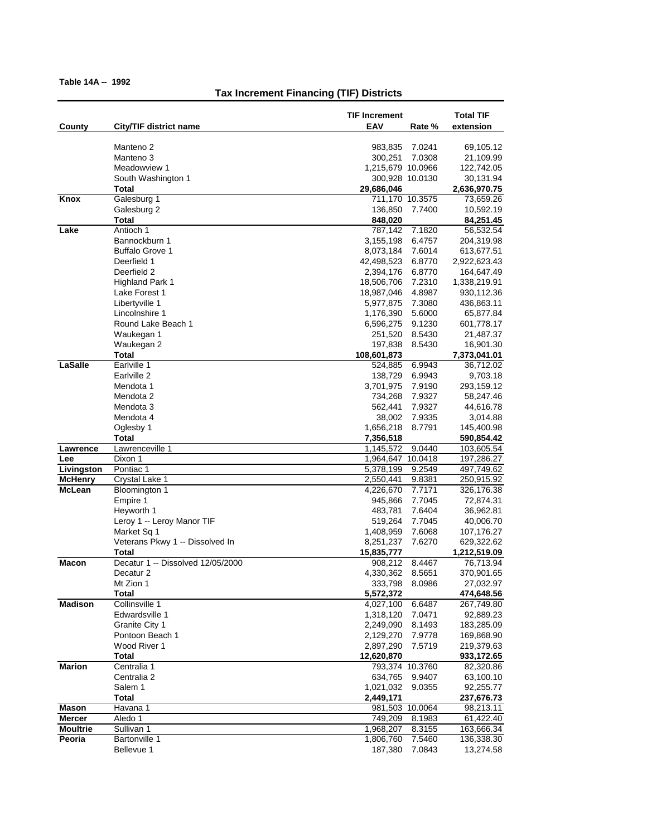|                 |                                          | <b>TIF Increment</b>                   | <b>Total TIF</b>         |
|-----------------|------------------------------------------|----------------------------------------|--------------------------|
| County          | City/TIF district name                   | EAV<br>Rate %                          | extension                |
|                 | Manteno <sub>2</sub>                     | 7.0241<br>983,835                      | 69,105.12                |
|                 | Manteno 3                                | 300,251<br>7.0308                      | 21,109.99                |
|                 | Meadowview 1                             | 1,215,679 10.0966                      | 122,742.05               |
|                 | South Washington 1                       | 300,928 10.0130                        | 30,131.94                |
|                 | Total                                    | 29,686,046                             | 2,636,970.75             |
| Knox            | Galesburg 1                              | 711,170 10.3575                        | 73,659.26                |
|                 | Galesburg 2<br>Total                     | 136,850<br>7.7400<br>848,020           | 10,592.19<br>84,251.45   |
| Lake            | Antioch 1                                | 787,142<br>7.1820                      | 56,532.54                |
|                 | Bannockburn 1                            | 3,155,198<br>6.4757                    | 204,319.98               |
|                 | <b>Buffalo Grove 1</b>                   | 8,073,184<br>7.6014                    | 613,677.51               |
|                 | Deerfield 1                              | 42,498,523<br>6.8770                   | 2,922,623.43             |
|                 | Deerfield 2                              | 2,394,176<br>6.8770                    | 164,647.49               |
|                 | Highland Park 1                          | 18,506,706<br>7.2310                   | 1,338,219.91             |
|                 | Lake Forest 1                            | 18,987,046<br>4.8987                   | 930,112.36               |
|                 | Libertyville 1                           | 7.3080<br>5,977,875                    | 436,863.11               |
|                 | Lincolnshire 1                           | 1,176,390<br>5.6000                    | 65,877.84                |
|                 | Round Lake Beach 1                       | 6,596,275<br>9.1230                    | 601,778.17               |
|                 | Waukegan 1                               | 251,520<br>8.5430                      | 21,487.37                |
|                 | Waukegan 2                               | 197,838<br>8.5430                      | 16,901.30                |
|                 | <b>Total</b>                             | 108,601,873<br>6.9943                  | 7,373,041.01             |
| LaSalle         | Earlville 1<br>Earlville 2               | 524,885<br>138,729<br>6.9943           | 36,712.02<br>9,703.18    |
|                 | Mendota 1                                | 3,701,975<br>7.9190                    | 293,159.12               |
|                 | Mendota 2                                | 734,268<br>7.9327                      | 58,247.46                |
|                 | Mendota 3                                | 7.9327<br>562,441                      | 44,616.78                |
|                 | Mendota 4                                | 38,002<br>7.9335                       | 3,014.88                 |
|                 | Oglesby 1                                | 1,656,218<br>8.7791                    | 145,400.98               |
|                 | Total                                    | 7,356,518                              | 590,854.42               |
| Lawrence        | Lawrenceville 1                          | 9.0440<br>1,145,572                    | 103,605.54               |
| Lee             | Dixon 1                                  | 1,964,647<br>10.0418                   | 197,286.27               |
| Livingston      | Pontiac 1                                | 5,378,199<br>9.2549                    | 497,749.62               |
| <b>McHenry</b>  | Crystal Lake 1                           | 2,550,441<br>9.8381                    | 250,915.92               |
| <b>McLean</b>   | Bloomington 1                            | 4,226,670<br>7.7171                    | 326,176.38               |
|                 | Empire 1                                 | 7.7045<br>945,866                      | 72,874.31                |
|                 | Heyworth 1<br>Leroy 1 -- Leroy Manor TIF | 483,781<br>7.6404<br>519,264<br>7.7045 | 36,962.81<br>40,006.70   |
|                 | Market Sq 1                              | 1,408,959<br>7.6068                    | 107,176.27               |
|                 | Veterans Pkwy 1 -- Dissolved In          | 8,251,237<br>7.6270                    | 629,322.62               |
|                 | Total                                    | 15,835,777                             | 1,212,519.09             |
| <b>Macon</b>    | Decatur 1 -- Dissolved 12/05/2000        | 8.4467<br>908,212                      | 76,713.94                |
|                 | Decatur <sub>2</sub>                     | 4,330,362<br>8.5651                    | 370,901.65               |
|                 | Mt Zion 1                                | 333,798<br>8.0986                      | 27,032.97                |
|                 | <b>Total</b>                             | 5,572,372                              | 474,648.56               |
| <b>Madison</b>  | Collinsville 1                           | 4,027,100<br>6.6487                    | 267,749.80               |
|                 | Edwardsville 1                           | 7.0471<br>1,318,120                    | 92,889.23                |
|                 | Granite City 1                           | 2,249,090<br>8.1493                    | 183,285.09               |
|                 | Pontoon Beach 1                          | 2,129,270<br>7.9778                    | 169,868.90               |
|                 | Wood River 1<br>Total                    | 2,897,290<br>7.5719<br>12,620,870      | 219,379.63<br>933,172.65 |
| <b>Marion</b>   | Centralia 1                              | 793,374 10.3760                        | 82,320.86                |
|                 | Centralia 2                              | 634,765<br>9.9407                      | 63,100.10                |
|                 | Salem 1                                  | 1,021,032<br>9.0355                    | 92,255.77                |
|                 | Total                                    | 2,449,171                              | 237,676.73               |
| Mason           | Havana 1                                 | 981,503 10.0064                        | 98,213.11                |
| <b>Mercer</b>   | Aledo 1                                  | 749,209<br>8.1983                      | 61,422.40                |
| <b>Moultrie</b> | Sullivan 1                               | 1,968,207<br>8.3155                    | 163,666.34               |
| Peoria          | <b>Bartonville 1</b>                     | 1,806,760<br>7.5460                    | 136,338.30               |
|                 | Bellevue 1                               | 187,380<br>7.0843                      | 13,274.58                |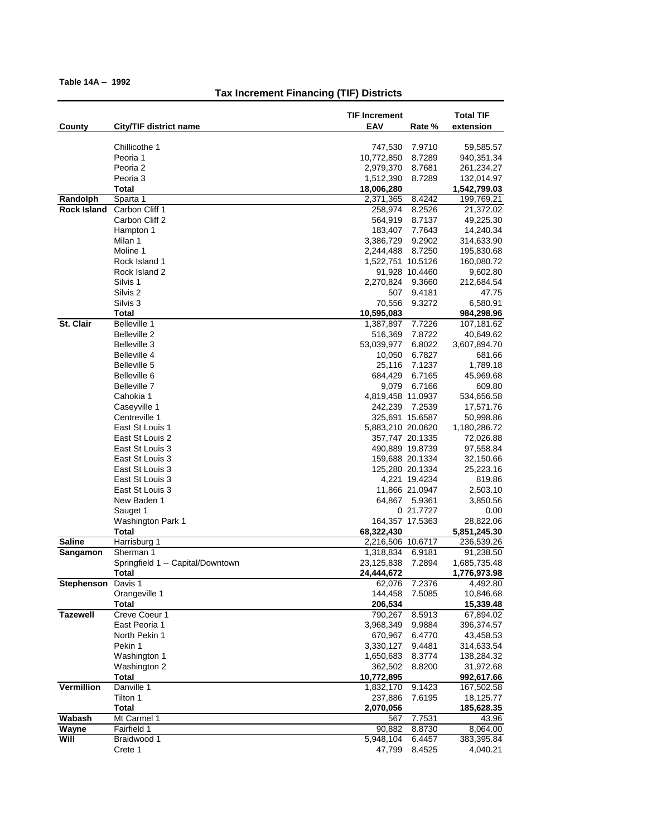|                           |                                    | <b>TIF Increment</b>                      | <b>Total TIF</b>          |
|---------------------------|------------------------------------|-------------------------------------------|---------------------------|
| County                    | City/TIF district name             | EAV<br>Rate %                             | extension                 |
|                           | Chillicothe 1                      |                                           |                           |
|                           | Peoria 1                           | 747,530<br>7.9710<br>10,772,850<br>8.7289 | 59,585.57<br>940,351.34   |
|                           | Peoria 2                           | 2,979,370<br>8.7681                       | 261,234.27                |
|                           | Peoria 3                           | 1,512,390<br>8.7289                       | 132,014.97                |
|                           | <b>Total</b>                       | 18,006,280                                | 1,542,799.03              |
| Randolph                  | Sparta 1                           | 8.4242<br>2,371,365                       | 199,769.21                |
| <b>Rock Island</b>        | Carbon Cliff 1                     | 258,974<br>8.2526                         | 21,372.02                 |
|                           | Carbon Cliff 2<br>Hampton 1        | 564,919<br>8.7137<br>183,407<br>7.7643    | 49,225.30<br>14,240.34    |
|                           | Milan 1                            | 3,386,729<br>9.2902                       | 314,633.90                |
|                           | Moline 1                           | 2,244,488<br>8.7250                       | 195,830.68                |
|                           | Rock Island 1                      | 1,522,751 10.5126                         | 160,080.72                |
|                           | Rock Island 2                      | 91,928 10.4460                            | 9,602.80                  |
|                           | Silvis 1                           | 2,270,824<br>9.3660                       | 212,684.54                |
|                           | Silvis <sub>2</sub>                | 507<br>9.4181                             | 47.75                     |
|                           | Silvis <sub>3</sub>                | 70,556<br>9.3272                          | 6,580.91                  |
|                           | Total                              | 10,595,083                                | 984,298.96                |
| St. Clair                 | Belleville 1<br>Belleville 2       | 1,387,897<br>7.7226<br>516,369<br>7.8722  | 107,181.62                |
|                           | Belleville 3                       | 53,039,977<br>6.8022                      | 40,649.62<br>3,607,894.70 |
|                           | Belleville 4                       | 6.7827<br>10,050                          | 681.66                    |
|                           | Belleville 5                       | 25,116<br>7.1237                          | 1,789.18                  |
|                           | Belleville 6                       | 684,429<br>6.7165                         | 45,969.68                 |
|                           | Belleville 7                       | 9,079<br>6.7166                           | 609.80                    |
|                           | Cahokia 1                          | 4,819,458 11.0937                         | 534,656.58                |
|                           | Caseyville 1                       | 242,239<br>7.2539                         | 17,571.76                 |
|                           | Centreville 1                      | 325,691 15.6587                           | 50,998.86                 |
|                           | East St Louis 1                    | 5,883,210 20.0620                         | 1,180,286.72              |
|                           | East St Louis 2<br>East St Louis 3 | 357,747 20.1335<br>490,889 19.8739        | 72,026.88<br>97,558.84    |
|                           | East St Louis 3                    | 159,688 20.1334                           | 32,150.66                 |
|                           | East St Louis 3                    | 125,280 20.1334                           | 25,223.16                 |
|                           | East St Louis 3                    | 4,221 19.4234                             | 819.86                    |
|                           | East St Louis 3                    | 11,866 21.0947                            | 2,503.10                  |
|                           | New Baden 1                        | 64,867 5.9361                             | 3,850.56                  |
|                           | Sauget 1                           | 0 21.7727                                 | 0.00                      |
|                           | Washington Park 1                  | 164,357 17.5363                           | 28,822.06                 |
|                           | Total                              | 68,322,430                                | 5,851,245.30              |
| <b>Saline</b><br>Sangamon | Harrisburg 1<br>Sherman 1          | 2,216,506 10.6717<br>1,318,834<br>6.9181  | 236,539.26<br>91,238.50   |
|                           | Springfield 1 -- Capital/Downtown  | 23,125,838<br>7.2894                      | 1,685,735.48              |
|                           | Total                              | 24,444,672                                | 1,776,973.98              |
| Stephenson Davis 1        |                                    | 62,076<br>7.2376                          | 4,492.80                  |
|                           | Orangeville 1                      | 144,458<br>7.5085                         | 10,846.68                 |
|                           | Total                              | 206,534                                   | 15,339.48                 |
| <b>Tazewell</b>           | Creve Coeur 1                      | 8.5913<br>790,267                         | 67,894.02                 |
|                           | East Peoria 1                      | 3,968,349<br>9.9884                       | 396,374.57                |
|                           | North Pekin 1<br>Pekin 1           | 6.4770<br>670,967<br>9.4481<br>3,330,127  | 43,458.53                 |
|                           | Washington 1                       | 1,650,683<br>8.3774                       | 314,633.54<br>138,284.32  |
|                           | Washington 2                       | 362,502<br>8.8200                         | 31,972.68                 |
|                           | <b>Total</b>                       | 10,772,895                                | 992,617.66                |
| <b>Vermillion</b>         | Danville 1                         | 9.1423<br>1,832,170                       | 167,502.58                |
|                           | Tilton 1                           | 237,886<br>7.6195                         | 18,125.77                 |
|                           | <b>Total</b>                       | 2,070,056                                 | 185,628.35                |
| Wabash                    | Mt Carmel 1                        | 7.7531<br>567                             | 43.96                     |
| Wayne                     | Fairfield 1                        | 8.8730<br>90,882                          | 8,064.00                  |
| Will                      | Braidwood 1                        | 5,948,104<br>6.4457                       | 383,395.84                |
|                           | Crete 1                            | 47,799<br>8.4525                          | 4,040.21                  |